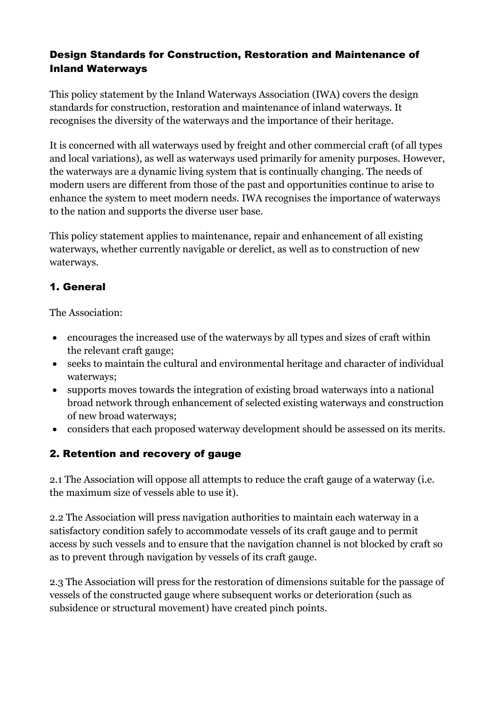#### Design Standards for Construction, Restoration and Maintenance of Inland Waterways

This policy statement by the Inland Waterways Association (IWA) covers the design standards for construction, restoration and maintenance of inland waterways. It recognises the diversity of the waterways and the importance of their heritage.

It is concerned with all waterways used by freight and other commercial craft (of all types and local variations), as well as waterways used primarily for amenity purposes. However, the waterways are a dynamic living system that is continually changing. The needs of modern users are different from those of the past and opportunities continue to arise to enhance the system to meet modern needs. IWA recognises the importance of waterways to the nation and supports the diverse user base.

This policy statement applies to maintenance, repair and enhancement of all existing waterways, whether currently navigable or derelict, as well as to construction of new waterways.

### 1. General

The Association:

- encourages the increased use of the waterways by all types and sizes of craft within the relevant craft gauge;
- seeks to maintain the cultural and environmental heritage and character of individual waterways;
- supports moves towards the integration of existing broad waterways into a national broad network through enhancement of selected existing waterways and construction of new broad waterways;
- considers that each proposed waterway development should be assessed on its merits.

#### 2. Retention and recovery of gauge

2.1 The Association will oppose all attempts to reduce the craft gauge of a waterway (i.e. the maximum size of vessels able to use it).

2.2 The Association will press navigation authorities to maintain each waterway in a satisfactory condition safely to accommodate vessels of its craft gauge and to permit access by such vessels and to ensure that the navigation channel is not blocked by craft so as to prevent through navigation by vessels of its craft gauge.

2.3 The Association will press for the restoration of dimensions suitable for the passage of vessels of the constructed gauge where subsequent works or deterioration (such as subsidence or structural movement) have created pinch points.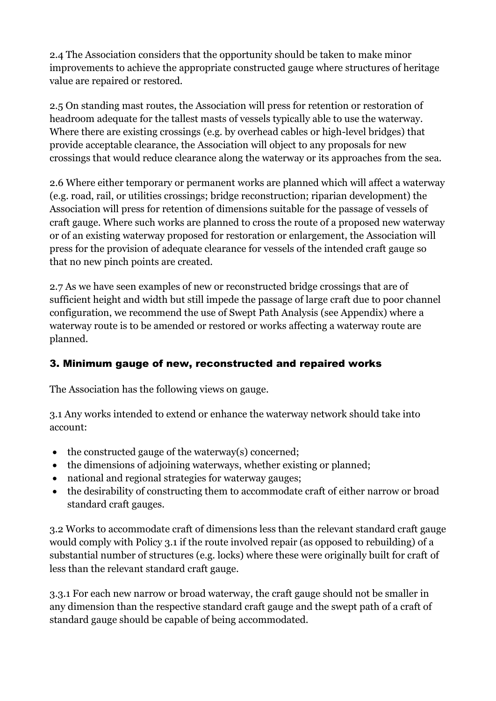2.4 The Association considers that the opportunity should be taken to make minor improvements to achieve the appropriate constructed gauge where structures of heritage value are repaired or restored.

2.5 On standing mast routes, the Association will press for retention or restoration of headroom adequate for the tallest masts of vessels typically able to use the waterway. Where there are existing crossings (e.g. by overhead cables or high-level bridges) that provide acceptable clearance, the Association will object to any proposals for new crossings that would reduce clearance along the waterway or its approaches from the sea.

2.6 Where either temporary or permanent works are planned which will affect a waterway (e.g. road, rail, or utilities crossings; bridge reconstruction; riparian development) the Association will press for retention of dimensions suitable for the passage of vessels of craft gauge. Where such works are planned to cross the route of a proposed new waterway or of an existing waterway proposed for restoration or enlargement, the Association will press for the provision of adequate clearance for vessels of the intended craft gauge so that no new pinch points are created.

2.7 As we have seen examples of new or reconstructed bridge crossings that are of sufficient height and width but still impede the passage of large craft due to poor channel configuration, we recommend the use of Swept Path Analysis (see Appendix) where a waterway route is to be amended or restored or works affecting a waterway route are planned.

#### 3. Minimum gauge of new, reconstructed and repaired works

The Association has the following views on gauge.

3.1 Any works intended to extend or enhance the waterway network should take into account:

- $\bullet$  the constructed gauge of the waterway(s) concerned;
- the dimensions of adjoining waterways, whether existing or planned;
- national and regional strategies for waterway gauges;
- the desirability of constructing them to accommodate craft of either narrow or broad standard craft gauges.

3.2 Works to accommodate craft of dimensions less than the relevant standard craft gauge would comply with Policy 3.1 if the route involved repair (as opposed to rebuilding) of a substantial number of structures (e.g. locks) where these were originally built for craft of less than the relevant standard craft gauge.

3.3.1 For each new narrow or broad waterway, the craft gauge should not be smaller in any dimension than the respective standard craft gauge and the swept path of a craft of standard gauge should be capable of being accommodated.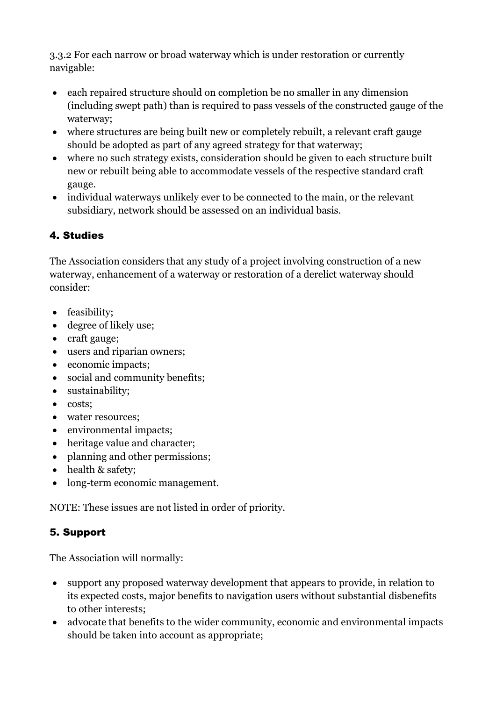3.3.2 For each narrow or broad waterway which is under restoration or currently navigable:

- each repaired structure should on completion be no smaller in any dimension (including swept path) than is required to pass vessels of the constructed gauge of the waterway;
- where structures are being built new or completely rebuilt, a relevant craft gauge should be adopted as part of any agreed strategy for that waterway;
- where no such strategy exists, consideration should be given to each structure built new or rebuilt being able to accommodate vessels of the respective standard craft gauge.
- individual waterways unlikely ever to be connected to the main, or the relevant subsidiary, network should be assessed on an individual basis.

## 4. Studies

The Association considers that any study of a project involving construction of a new waterway, enhancement of a waterway or restoration of a derelict waterway should consider:

- feasibility;
- degree of likely use;
- craft gauge;
- users and riparian owners;
- economic impacts;
- social and community benefits;
- sustainability;
- costs;
- water resources;
- environmental impacts;
- heritage value and character;
- planning and other permissions;
- health & safety;
- long-term economic management.

NOTE: These issues are not listed in order of priority.

# 5. Support

The Association will normally:

- support any proposed waterway development that appears to provide, in relation to its expected costs, major benefits to navigation users without substantial disbenefits to other interests;
- advocate that benefits to the wider community, economic and environmental impacts should be taken into account as appropriate;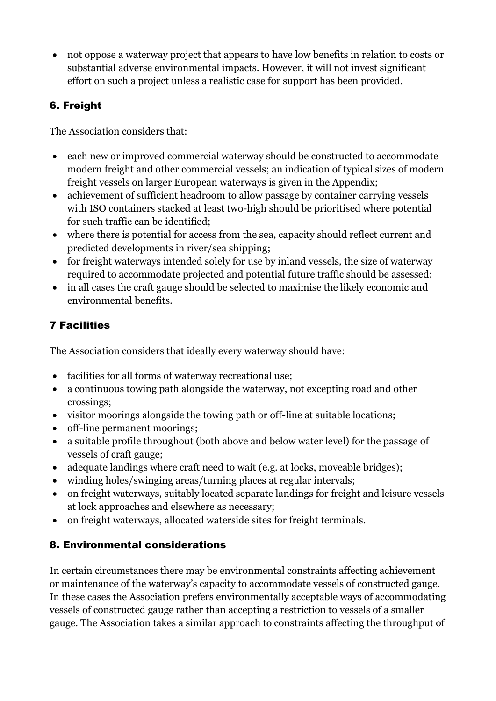not oppose a waterway project that appears to have low benefits in relation to costs or substantial adverse environmental impacts. However, it will not invest significant effort on such a project unless a realistic case for support has been provided.

## 6. Freight

The Association considers that:

- each new or improved commercial waterway should be constructed to accommodate modern freight and other commercial vessels; an indication of typical sizes of modern freight vessels on larger European waterways is given in the Appendix;
- achievement of sufficient headroom to allow passage by container carrying vessels with ISO containers stacked at least two-high should be prioritised where potential for such traffic can be identified;
- where there is potential for access from the sea, capacity should reflect current and predicted developments in river/sea shipping;
- for freight waterways intended solely for use by inland vessels, the size of waterway required to accommodate projected and potential future traffic should be assessed;
- in all cases the craft gauge should be selected to maximise the likely economic and environmental benefits.

# 7 Facilities

The Association considers that ideally every waterway should have:

- facilities for all forms of waterway recreational use;
- a continuous towing path alongside the waterway, not excepting road and other crossings;
- visitor moorings alongside the towing path or off-line at suitable locations;
- off-line permanent moorings;
- a suitable profile throughout (both above and below water level) for the passage of vessels of craft gauge;
- adequate landings where craft need to wait (e.g. at locks, moveable bridges);
- winding holes/swinging areas/turning places at regular intervals;
- on freight waterways, suitably located separate landings for freight and leisure vessels at lock approaches and elsewhere as necessary;
- on freight waterways, allocated waterside sites for freight terminals.

# 8. Environmental considerations

In certain circumstances there may be environmental constraints affecting achievement or maintenance of the waterway's capacity to accommodate vessels of constructed gauge. In these cases the Association prefers environmentally acceptable ways of accommodating vessels of constructed gauge rather than accepting a restriction to vessels of a smaller gauge. The Association takes a similar approach to constraints affecting the throughput of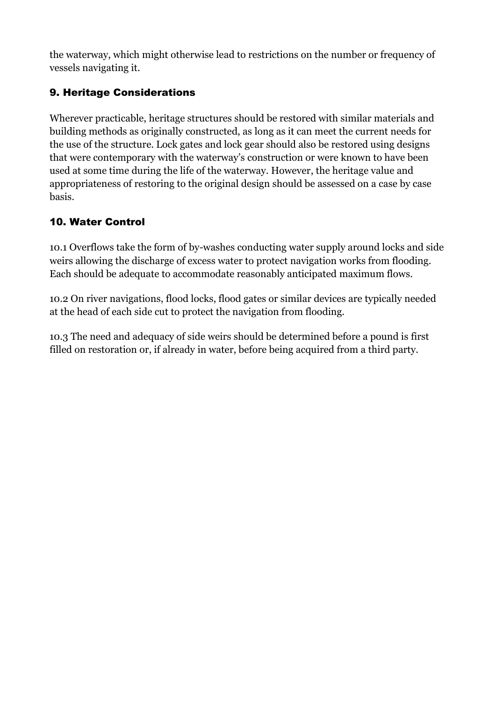the waterway, which might otherwise lead to restrictions on the number or frequency of vessels navigating it.

### 9. Heritage Considerations

Wherever practicable, heritage structures should be restored with similar materials and building methods as originally constructed, as long as it can meet the current needs for the use of the structure. Lock gates and lock gear should also be restored using designs that were contemporary with the waterway's construction or were known to have been used at some time during the life of the waterway. However, the heritage value and appropriateness of restoring to the original design should be assessed on a case by case basis.

#### 10. Water Control

10.1 Overflows take the form of by-washes conducting water supply around locks and side weirs allowing the discharge of excess water to protect navigation works from flooding. Each should be adequate to accommodate reasonably anticipated maximum flows.

10.2 On river navigations, flood locks, flood gates or similar devices are typically needed at the head of each side cut to protect the navigation from flooding.

10.3 The need and adequacy of side weirs should be determined before a pound is first filled on restoration or, if already in water, before being acquired from a third party.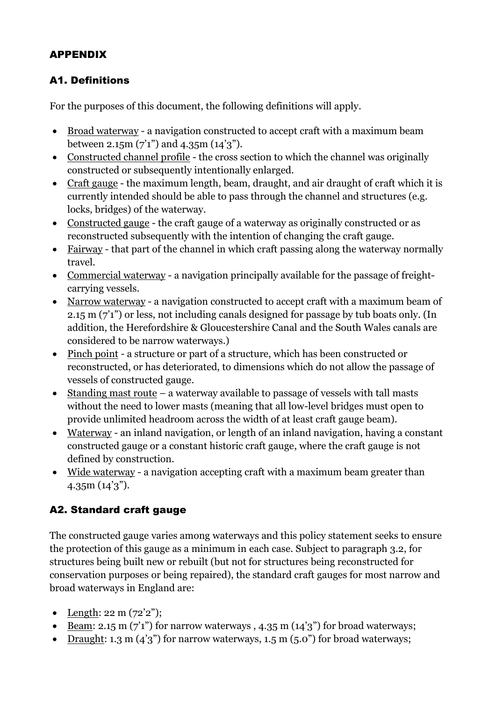## APPENDIX

#### A1. Definitions

For the purposes of this document, the following definitions will apply.

- Broad waterway a navigation constructed to accept craft with a maximum beam between 2.15m (7'1") and 4.35m (14'3").
- Constructed channel profile the cross section to which the channel was originally constructed or subsequently intentionally enlarged.
- Craft gauge the maximum length, beam, draught, and air draught of craft which it is currently intended should be able to pass through the channel and structures (e.g. locks, bridges) of the waterway.
- Constructed gauge the craft gauge of a waterway as originally constructed or as reconstructed subsequently with the intention of changing the craft gauge.
- Fairway that part of the channel in which craft passing along the waterway normally travel.
- Commercial waterway a navigation principally available for the passage of freightcarrying vessels.
- Narrow waterway a navigation constructed to accept craft with a maximum beam of 2.15 m (7'1") or less, not including canals designed for passage by tub boats only. (In addition, the Herefordshire & Gloucestershire Canal and the South Wales canals are considered to be narrow waterways.)
- Pinch point a structure or part of a structure, which has been constructed or reconstructed, or has deteriorated, to dimensions which do not allow the passage of vessels of constructed gauge.
- Standing mast route a waterway available to passage of vessels with tall masts without the need to lower masts (meaning that all low-level bridges must open to provide unlimited headroom across the width of at least craft gauge beam).
- Waterway an inland navigation, or length of an inland navigation, having a constant constructed gauge or a constant historic craft gauge, where the craft gauge is not defined by construction.
- Wide waterway a navigation accepting craft with a maximum beam greater than 4.35m (14'3").

## A2. Standard craft gauge

The constructed gauge varies among waterways and this policy statement seeks to ensure the protection of this gauge as a minimum in each case. Subject to paragraph 3.2, for structures being built new or rebuilt (but not for structures being reconstructed for conservation purposes or being repaired), the standard craft gauges for most narrow and broad waterways in England are:

- Length:  $22 \text{ m} (72'2'')$ ;
- Beam: 2.15 m  $(7'1'')$  for narrow waterways, 4.35 m  $(14'3'')$  for broad waterways;
- Draught: 1.3 m  $(4'3'')$  for narrow waterways, 1.5 m  $(5.0'')$  for broad waterways;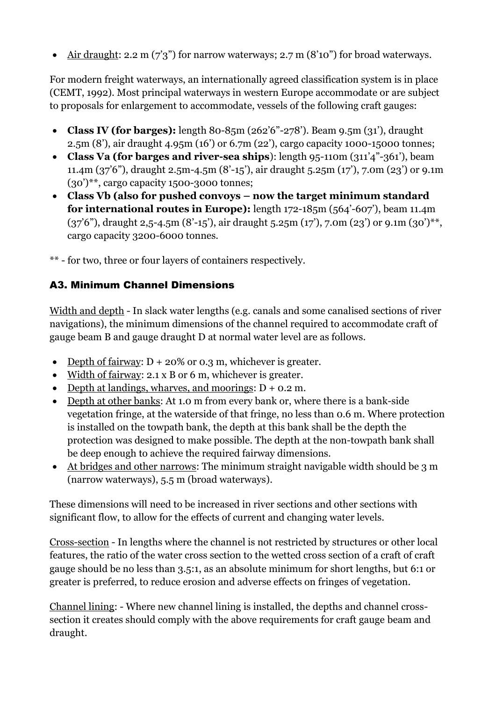Air draught: 2.2 m  $(7'3'')$  for narrow waterways; 2.7 m  $(8'10'')$  for broad waterways.

For modern freight waterways, an internationally agreed classification system is in place (CEMT, 1992). Most principal waterways in western Europe accommodate or are subject to proposals for enlargement to accommodate, vessels of the following craft gauges:

- **Class IV (for barges):** length 80-85m (262'6"-278'). Beam 9.5m (31'), draught 2.5m (8'), air draught 4.95m (16') or 6.7m (22'), cargo capacity 1000-15000 tonnes;
- **Class Va (for barges and river-sea ships**): length 95-110m (311'4"-361'), beam 11.4m (37'6"), draught 2.5m-4.5m (8'-15'), air draught 5.25m (17'), 7.0m (23') or 9.1m (30')\*\*, cargo capacity 1500-3000 tonnes;
- **Class Vb (also for pushed convoys – now the target minimum standard for international routes in Europe):** length 172-185m (564'-607'), beam 11.4m  $(37'6'')$ , draught 2,5-4.5m  $(8'$ -15'), air draught 5.25m  $(17')$ , 7.0m  $(23')$  or 9.1m  $(30')^{**}$ , cargo capacity 3200-6000 tonnes.
- \*\* for two, three or four layers of containers respectively.

## A3. Minimum Channel Dimensions

Width and depth - In slack water lengths (e.g. canals and some canalised sections of river navigations), the minimum dimensions of the channel required to accommodate craft of gauge beam B and gauge draught D at normal water level are as follows.

- Depth of fairway:  $D + 20\%$  or 0.3 m, whichever is greater.
- Width of fairway: 2.1 x B or 6 m, whichever is greater.
- Depth at landings, wharves, and moorings:  $D + 0.2$  m.
- Depth at other banks: At 1.0 m from every bank or, where there is a bank-side vegetation fringe, at the waterside of that fringe, no less than 0.6 m. Where protection is installed on the towpath bank, the depth at this bank shall be the depth the protection was designed to make possible. The depth at the non-towpath bank shall be deep enough to achieve the required fairway dimensions.
- At bridges and other narrows: The minimum straight navigable width should be 3 m (narrow waterways), 5.5 m (broad waterways).

These dimensions will need to be increased in river sections and other sections with significant flow, to allow for the effects of current and changing water levels.

Cross-section - In lengths where the channel is not restricted by structures or other local features, the ratio of the water cross section to the wetted cross section of a craft of craft gauge should be no less than 3.5:1, as an absolute minimum for short lengths, but 6:1 or greater is preferred, to reduce erosion and adverse effects on fringes of vegetation.

Channel lining: - Where new channel lining is installed, the depths and channel crosssection it creates should comply with the above requirements for craft gauge beam and draught.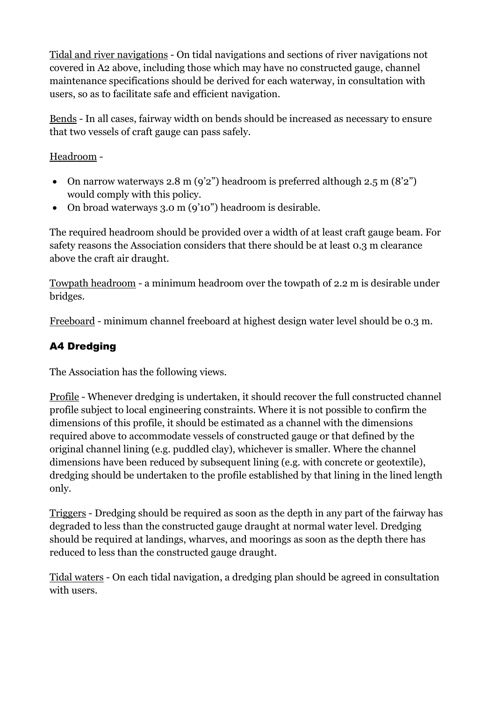Tidal and river navigations - On tidal navigations and sections of river navigations not covered in A2 above, including those which may have no constructed gauge, channel maintenance specifications should be derived for each waterway, in consultation with users, so as to facilitate safe and efficient navigation.

Bends - In all cases, fairway width on bends should be increased as necessary to ensure that two vessels of craft gauge can pass safely.

Headroom -

- On narrow waterways 2.8 m  $(9'2'')$  headroom is preferred although 2.5 m  $(8'2'')$ would comply with this policy.
- On broad waterways 3.0 m (9'10") headroom is desirable.

The required headroom should be provided over a width of at least craft gauge beam. For safety reasons the Association considers that there should be at least 0.3 m clearance above the craft air draught.

Towpath headroom - a minimum headroom over the towpath of 2.2 m is desirable under bridges.

Freeboard - minimum channel freeboard at highest design water level should be 0.3 m.

## A4 Dredging

The Association has the following views.

Profile - Whenever dredging is undertaken, it should recover the full constructed channel profile subject to local engineering constraints. Where it is not possible to confirm the dimensions of this profile, it should be estimated as a channel with the dimensions required above to accommodate vessels of constructed gauge or that defined by the original channel lining (e.g. puddled clay), whichever is smaller. Where the channel dimensions have been reduced by subsequent lining (e.g. with concrete or geotextile), dredging should be undertaken to the profile established by that lining in the lined length only.

Triggers - Dredging should be required as soon as the depth in any part of the fairway has degraded to less than the constructed gauge draught at normal water level. Dredging should be required at landings, wharves, and moorings as soon as the depth there has reduced to less than the constructed gauge draught.

Tidal waters - On each tidal navigation, a dredging plan should be agreed in consultation with users.